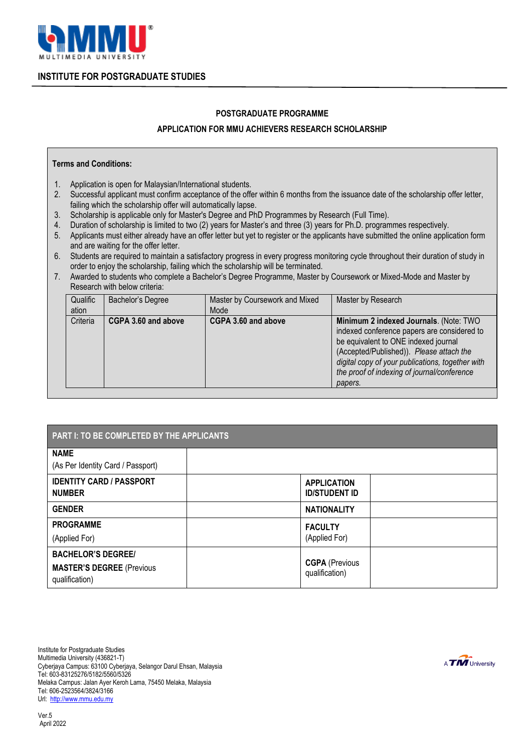

### **INSTITUTE FOR POSTGRADUATE STUDIES**

#### **POSTGRADUATE PROGRAMME**

### **APPLICATION FOR MMU ACHIEVERS RESEARCH SCHOLARSHIP**

#### **Terms and Conditions:**

- 1. Application is open for Malaysian/International students.
- 2. Successful applicant must confirm acceptance of the offer within 6 months from the issuance date of the scholarship offer letter, failing which the scholarship offer will automatically lapse.
- 3. Scholarship is applicable only for Master's Degree and PhD Programmes by Research (Full Time).
- 4. Duration of scholarship is limited to two (2) years for Master's and three (3) years for Ph.D. programmes respectively.
- 5. Applicants must either already have an offer letter but yet to register or the applicants have submitted the online application form and are waiting for the offer letter.
- 6. Students are required to maintain a satisfactory progress in every progress monitoring cycle throughout their duration of study in order to enjoy the scholarship, failing which the scholarship will be terminated.
- 7. Awarded to students who complete a Bachelor's Degree Programme, Master by Coursework or Mixed-Mode and Master by Research with below criteria:

| Qualific<br>ation | Bachelor's Degree   | Master by Coursework and Mixed<br>Mode | Master by Research                                                                                                                                                                                                                                                                      |
|-------------------|---------------------|----------------------------------------|-----------------------------------------------------------------------------------------------------------------------------------------------------------------------------------------------------------------------------------------------------------------------------------------|
| Criteria          | CGPA 3.60 and above | CGPA 3.60 and above                    | Minimum 2 indexed Journals. (Note: TWO<br>indexed conference papers are considered to<br>be equivalent to ONE indexed journal<br>(Accepted/Published)). Please attach the<br>digital copy of your publications, together with<br>the proof of indexing of journal/conference<br>papers. |

| PART I: TO BE COMPLETED BY THE APPLICANTS                                       |  |                                            |  |  |  |
|---------------------------------------------------------------------------------|--|--------------------------------------------|--|--|--|
| <b>NAME</b><br>(As Per Identity Card / Passport)                                |  |                                            |  |  |  |
| <b>IDENTITY CARD / PASSPORT</b><br><b>NUMBER</b>                                |  | <b>APPLICATION</b><br><b>ID/STUDENT ID</b> |  |  |  |
| <b>GENDER</b>                                                                   |  | <b>NATIONALITY</b>                         |  |  |  |
| <b>PROGRAMME</b><br>(Applied For)                                               |  | <b>FACULTY</b><br>(Applied For)            |  |  |  |
| <b>BACHELOR'S DEGREE/</b><br><b>MASTER'S DEGREE (Previous</b><br>qualification) |  | <b>CGPA (Previous</b><br>qualification)    |  |  |  |

Institute for Postgraduate Studies Multimedia University (436821-T) Cyberjaya Campus: 63100 Cyberjaya, Selangor Darul Ehsan, Malaysia Tel: 603-83125276/5182/5560/5326 Melaka Campus: Jalan Ayer Keroh Lama, 75450 Melaka, Malaysia Tel: 606-2523564/3824/3166 Url: [http://www.mmu.edu.my](http://www.mmu.edu.my/)

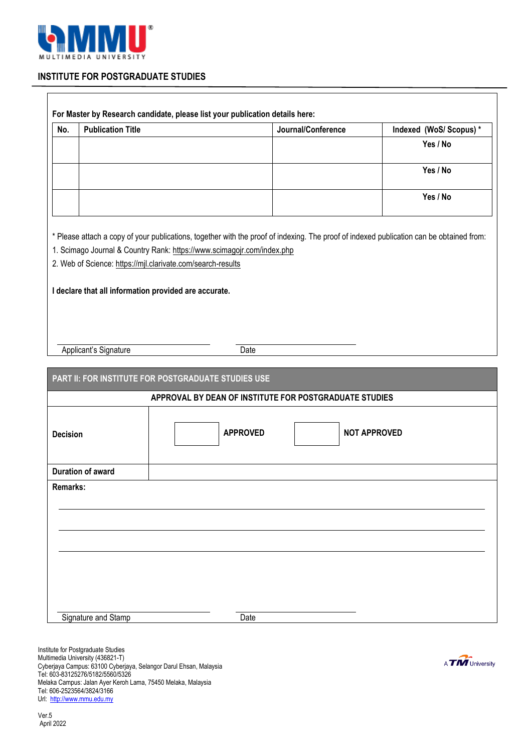

# **INSTITUTE FOR POSTGRADUATE STUDIES**

| No.             | <b>Publication Title</b> |                                                                                                                                                                                                                                                                                   | Journal/Conference | Indexed (WoS/ Scopus)* |
|-----------------|--------------------------|-----------------------------------------------------------------------------------------------------------------------------------------------------------------------------------------------------------------------------------------------------------------------------------|--------------------|------------------------|
|                 |                          |                                                                                                                                                                                                                                                                                   |                    | Yes / No               |
|                 |                          |                                                                                                                                                                                                                                                                                   |                    | Yes / No               |
|                 |                          |                                                                                                                                                                                                                                                                                   |                    | Yes / No               |
|                 |                          | * Please attach a copy of your publications, together with the proof of indexing. The proof of indexed publication can be obtained from:<br>1. Scimago Journal & Country Rank: https://www.scimagojr.com/index.php<br>2. Web of Science: https://mjl.clarivate.com/search-results |                    |                        |
|                 |                          | I declare that all information provided are accurate.                                                                                                                                                                                                                             |                    |                        |
|                 | Applicant's Signature    | Date                                                                                                                                                                                                                                                                              |                    |                        |
|                 |                          | PART II: FOR INSTITUTE FOR POSTGRADUATE STUDIES USE                                                                                                                                                                                                                               |                    |                        |
|                 |                          | APPROVAL BY DEAN OF INSTITUTE FOR POSTGRADUATE STUDIES                                                                                                                                                                                                                            |                    |                        |
| <b>Decision</b> |                          | <b>APPROVED</b>                                                                                                                                                                                                                                                                   |                    | <b>NOT APPROVED</b>    |
|                 | <b>Duration of award</b> |                                                                                                                                                                                                                                                                                   |                    |                        |
|                 |                          |                                                                                                                                                                                                                                                                                   |                    |                        |
|                 |                          |                                                                                                                                                                                                                                                                                   |                    |                        |
|                 |                          |                                                                                                                                                                                                                                                                                   |                    |                        |
|                 |                          |                                                                                                                                                                                                                                                                                   |                    |                        |
|                 |                          |                                                                                                                                                                                                                                                                                   |                    |                        |
|                 |                          |                                                                                                                                                                                                                                                                                   |                    |                        |
| Remarks:        |                          |                                                                                                                                                                                                                                                                                   |                    |                        |

Institute for Postgraduate Studies Multimedia University (436821-T) Cyberjaya Campus: 63100 Cyberjaya, Selangor Darul Ehsan, Malaysia Tel: 603-83125276/5182/5560/5326 Melaka Campus: Jalan Ayer Keroh Lama, 75450 Melaka, Malaysia Tel: 606-2523564/3824/3166 Url: [http://www.mmu.edu.my](http://www.mmu.edu.my/)